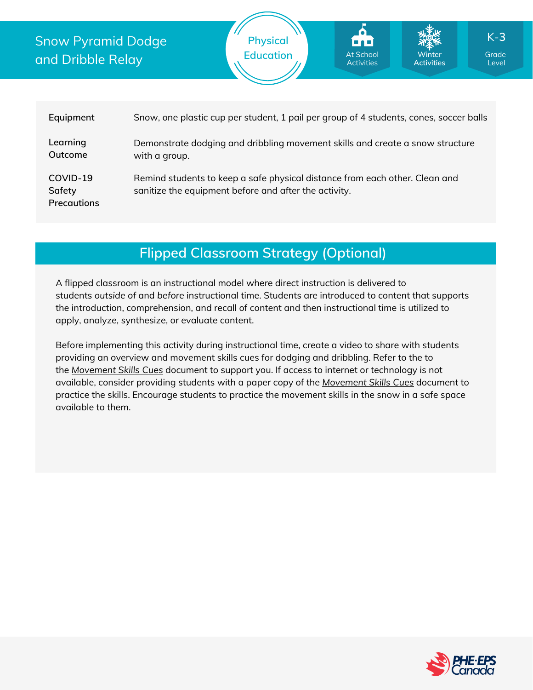## Snow Pyramid Dodge and Dribble Relay





# **Flipped Classroom Strategy (Optional)**

A flipped classroom is an instructional model where direct instruction is delivered to students *outside of* and *before* instructional time. Students are introduced to content that supports the introduction, comprehension, and recall of content and then instructional time is utilized to apply, analyze, synthesize, or evaluate content.

Before implementing this activity during instructional time, create a video to share with students providing an overview and movement skills cues for dodging and dribbling. Refer to the to the *[Movement](https://phecanada.ca/sites/default/files/content/docs/Home%20Learning%20Resource/Movement%20Cues/Movement%20Skills%20Cues%201.pdf) Skills Cues* document to support you. If access to internet or technology is not available, consider providing students with a paper copy of the *[Movement](https://phecanada.ca/sites/default/files/content/docs/Home%20Learning%20Resource/Movement%20Cues/Movement%20Skills%20Cues%201.pdf) Skills Cues* document to practice the skills. Encourage students to practice the movement skills in the snow in a safe space available to them.



Level

K-**3**

**Winter Activities**

At School **Activities**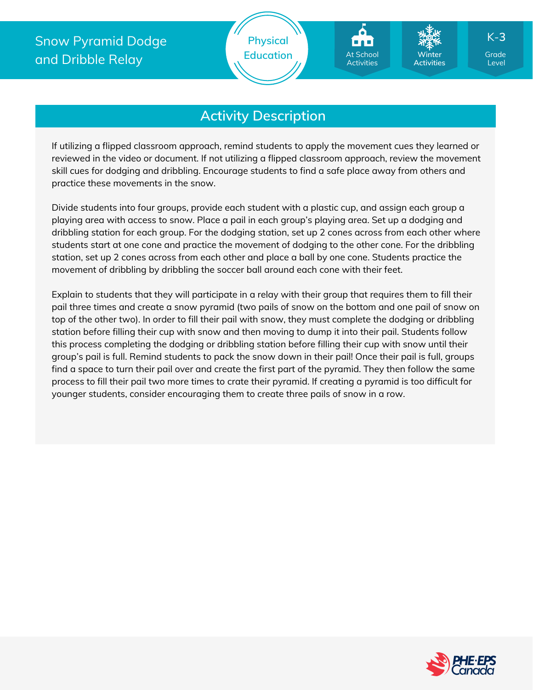If utilizing a flipped classroom approach, remind students to apply the movement cues they learned or reviewed in the video or document. If not utilizing a flipped classroom approach, review the movement skill cues for dodging and dribbling. Encourage students to find a safe place away from others and practice these movements in the snow.

Divide students into four groups, provide each student with a plastic cup, and assign each group a playing area with access to snow. Place a pail in each group's playing area. Set up a dodging and dribbling station for each group. For the dodging station, set up 2 cones across from each other where students start at one cone and practice the movement of dodging to the other cone. For the dribbling station, set up 2 cones across from each other and place a ball by one cone. Students practice the movement of dribbling by dribbling the soccer ball around each cone with their feet.

Explain to students that they will participate in a relay with their group that requires them to fill their pail three times and create a snow pyramid (two pails of snow on the bottom and one pail of snow on top of the other two). In order to fill their pail with snow, they must complete the dodging or dribbling station before filling their cup with snow and then moving to dump it into their pail. Students follow this process completing the dodging or dribbling station before filling their cup with snow until their group's pail is full. Remind students to pack the snow down in their pail! Once their pail is full, groups find a space to turn their pail over and create the first part of the pyramid. They then follow the same process to fill their pail two more times to crate their pyramid. If creating a pyramid is too difficult for younger students, consider encouraging them to create three pails of snow in a row.



Level

K-**3**

**Winter Activities**

At School Activities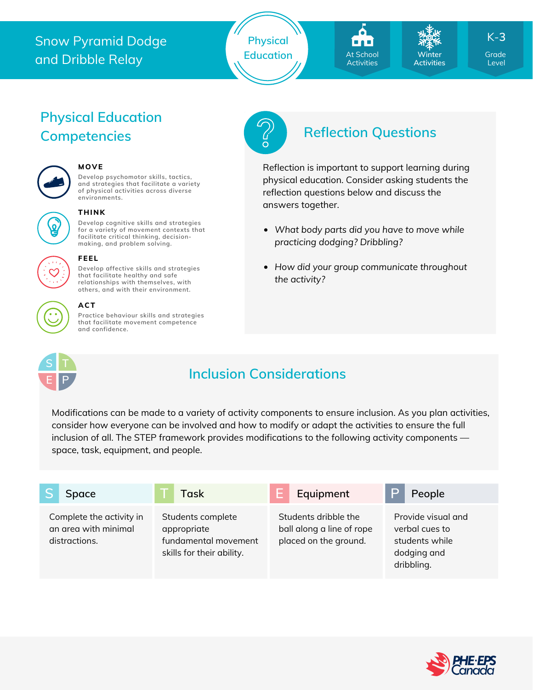# Snow Pyramid Dodge and Dribble Relay





**Winter Activities**

Level K-**3**

# **Physical Education Competencies Reflection Questions**



#### **MOVE**

**Develop psychomotor skills, tactics, and strategies that facilitate a variety of physical activities across diverse environments.**



## **THINK**

**Develop cognitive skills and strategies for a variety of movement contexts that facilitate critical thinking, decision making, and problem solving.**



### **FEEL**

**Develop affective skills and strategies that facilitate healthy and safe relationships with themselves, with others, and with their environment.**

#### **ACT**

**Practice behaviour skills and strategies that facilitate movement competence and confidence.**



Reflection is important to support learning during physical education. Consider asking students the reflection questions below and discuss the answers together.

- *What body parts did you have to move while practicing dodging? Dribbling?*
- *How did your group communicate throughout the activity?*



## **Inclusion Considerations**

Modifications can be made to a variety of activity components to ensure inclusion. As you plan activities, consider how everyone can be involved and how to modify or adapt the activities to ensure the full inclusion of all. The STEP framework provides modifications to the following activity components space, task, equipment, and people.

|  | Space                                                             | Task                                                                                  |  | Equipment                                                                  |  | People                                                                              |
|--|-------------------------------------------------------------------|---------------------------------------------------------------------------------------|--|----------------------------------------------------------------------------|--|-------------------------------------------------------------------------------------|
|  | Complete the activity in<br>an area with minimal<br>distractions. | Students complete<br>appropriate<br>fundamental movement<br>skills for their ability. |  | Students dribble the<br>ball along a line of rope<br>placed on the ground. |  | Provide visual and<br>verbal cues to<br>students while<br>dodging and<br>dribbling. |